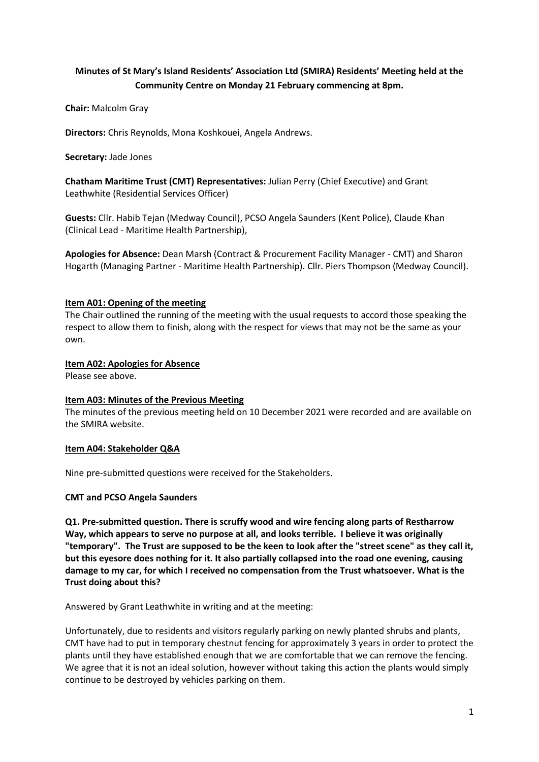# **Minutes of St Mary's Island Residents' Association Ltd (SMIRA) Residents' Meeting held at the Community Centre on Monday 21 February commencing at 8pm.**

**Chair:** Malcolm Gray

**Directors:** Chris Reynolds, Mona Koshkouei, Angela Andrews.

**Secretary:** Jade Jones

**Chatham Maritime Trust (CMT) Representatives:** Julian Perry (Chief Executive) and Grant Leathwhite (Residential Services Officer)

**Guests:** Cllr. Habib Tejan (Medway Council), PCSO Angela Saunders (Kent Police), Claude Khan (Clinical Lead - Maritime Health Partnership),

**Apologies for Absence:** Dean Marsh (Contract & Procurement Facility Manager - CMT) and Sharon Hogarth (Managing Partner - Maritime Health Partnership). Cllr. Piers Thompson (Medway Council).

## **Item A01: Opening of the meeting**

The Chair outlined the running of the meeting with the usual requests to accord those speaking the respect to allow them to finish, along with the respect for views that may not be the same as your own.

# **Item A02: Apologies for Absence**

Please see above.

## **Item A03: Minutes of the Previous Meeting**

The minutes of the previous meeting held on 10 December 2021 were recorded and are available on the SMIRA website.

## **Item A04: Stakeholder Q&A**

Nine pre-submitted questions were received for the Stakeholders.

## **CMT and PCSO Angela Saunders**

**Q1. Pre-submitted question. There is scruffy wood and wire fencing along parts of Restharrow Way, which appears to serve no purpose at all, and looks terrible. I believe it was originally "temporary". The Trust are supposed to be the keen to look after the "street scene" as they call it, but this eyesore does nothing for it. It also partially collapsed into the road one evening, causing damage to my car, for which I received no compensation from the Trust whatsoever. What is the Trust doing about this?**

Answered by Grant Leathwhite in writing and at the meeting:

Unfortunately, due to residents and visitors regularly parking on newly planted shrubs and plants, CMT have had to put in temporary chestnut fencing for approximately 3 years in order to protect the plants until they have established enough that we are comfortable that we can remove the fencing. We agree that it is not an ideal solution, however without taking this action the plants would simply continue to be destroyed by vehicles parking on them.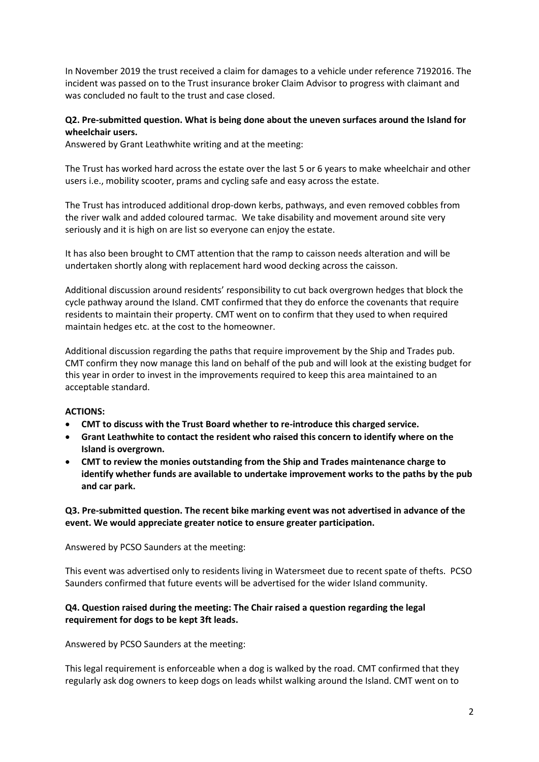In November 2019 the trust received a claim for damages to a vehicle under reference 7192016. The incident was passed on to the Trust insurance broker Claim Advisor to progress with claimant and was concluded no fault to the trust and case closed.

# **Q2. Pre-submitted question. What is being done about the uneven surfaces around the Island for wheelchair users.**

Answered by Grant Leathwhite writing and at the meeting:

The Trust has worked hard across the estate over the last 5 or 6 years to make wheelchair and other users i.e., mobility scooter, prams and cycling safe and easy across the estate.

The Trust has introduced additional drop-down kerbs, pathways, and even removed cobbles from the river walk and added coloured tarmac. We take disability and movement around site very seriously and it is high on are list so everyone can enjoy the estate.

It has also been brought to CMT attention that the ramp to caisson needs alteration and will be undertaken shortly along with replacement hard wood decking across the caisson.

Additional discussion around residents' responsibility to cut back overgrown hedges that block the cycle pathway around the Island. CMT confirmed that they do enforce the covenants that require residents to maintain their property. CMT went on to confirm that they used to when required maintain hedges etc. at the cost to the homeowner.

Additional discussion regarding the paths that require improvement by the Ship and Trades pub. CMT confirm they now manage this land on behalf of the pub and will look at the existing budget for this year in order to invest in the improvements required to keep this area maintained to an acceptable standard.

# **ACTIONS:**

- **CMT to discuss with the Trust Board whether to re-introduce this charged service.**
- **Grant Leathwhite to contact the resident who raised this concern to identify where on the Island is overgrown.**
- **CMT to review the monies outstanding from the Ship and Trades maintenance charge to identify whether funds are available to undertake improvement works to the paths by the pub and car park.**

# **Q3. Pre-submitted question. The recent bike marking event was not advertised in advance of the event. We would appreciate greater notice to ensure greater participation.**

Answered by PCSO Saunders at the meeting:

This event was advertised only to residents living in Watersmeet due to recent spate of thefts. PCSO Saunders confirmed that future events will be advertised for the wider Island community.

# **Q4. Question raised during the meeting: The Chair raised a question regarding the legal requirement for dogs to be kept 3ft leads.**

Answered by PCSO Saunders at the meeting:

This legal requirement is enforceable when a dog is walked by the road. CMT confirmed that they regularly ask dog owners to keep dogs on leads whilst walking around the Island. CMT went on to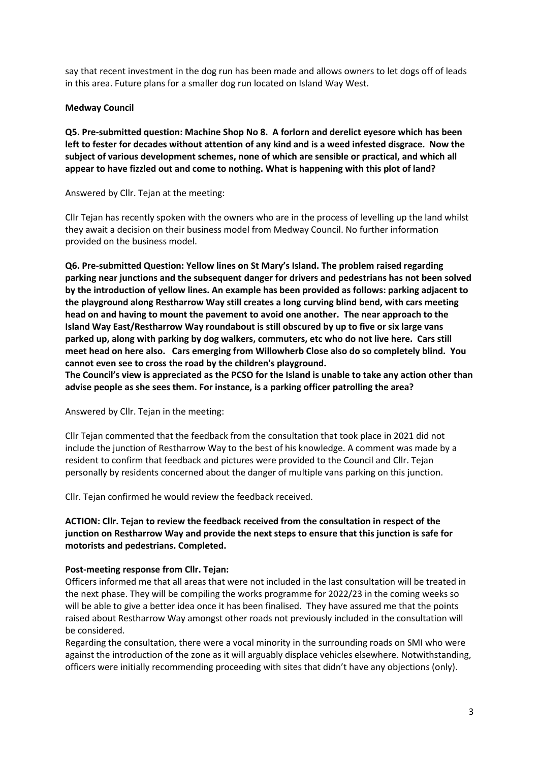say that recent investment in the dog run has been made and allows owners to let dogs off of leads in this area. Future plans for a smaller dog run located on Island Way West.

#### **Medway Council**

**Q5. Pre-submitted question: Machine Shop No 8. A forlorn and derelict eyesore which has been left to fester for decades without attention of any kind and is a weed infested disgrace. Now the subject of various development schemes, none of which are sensible or practical, and which all appear to have fizzled out and come to nothing. What is happening with this plot of land?**

Answered by Cllr. Tejan at the meeting:

Cllr Tejan has recently spoken with the owners who are in the process of levelling up the land whilst they await a decision on their business model from Medway Council. No further information provided on the business model.

**Q6. Pre-submitted Question: Yellow lines on St Mary's Island. The problem raised regarding parking near junctions and the subsequent danger for drivers and pedestrians has not been solved by the introduction of yellow lines. An example has been provided as follows: parking adjacent to the playground along Restharrow Way still creates a long curving blind bend, with cars meeting head on and having to mount the pavement to avoid one another. The near approach to the Island Way East/Restharrow Way roundabout is still obscured by up to five or six large vans parked up, along with parking by dog walkers, commuters, etc who do not live here. Cars still meet head on here also. Cars emerging from Willowherb Close also do so completely blind. You cannot even see to cross the road by the children's playground.**

**The Council's view is appreciated as the PCSO for the Island is unable to take any action other than advise people as she sees them. For instance, is a parking officer patrolling the area?**

Answered by Cllr. Tejan in the meeting:

Cllr Tejan commented that the feedback from the consultation that took place in 2021 did not include the junction of Restharrow Way to the best of his knowledge. A comment was made by a resident to confirm that feedback and pictures were provided to the Council and Cllr. Tejan personally by residents concerned about the danger of multiple vans parking on this junction.

Cllr. Tejan confirmed he would review the feedback received.

**ACTION: Cllr. Tejan to review the feedback received from the consultation in respect of the junction on Restharrow Way and provide the next steps to ensure that this junction is safe for motorists and pedestrians. Completed.**

#### **Post-meeting response from Cllr. Tejan:**

Officers informed me that all areas that were not included in the last consultation will be treated in the next phase. They will be compiling the works programme for 2022/23 in the coming weeks so will be able to give a better idea once it has been finalised. They have assured me that the points raised about Restharrow Way amongst other roads not previously included in the consultation will be considered.

Regarding the consultation, there were a vocal minority in the surrounding roads on SMI who were against the introduction of the zone as it will arguably displace vehicles elsewhere. Notwithstanding, officers were initially recommending proceeding with sites that didn't have any objections (only).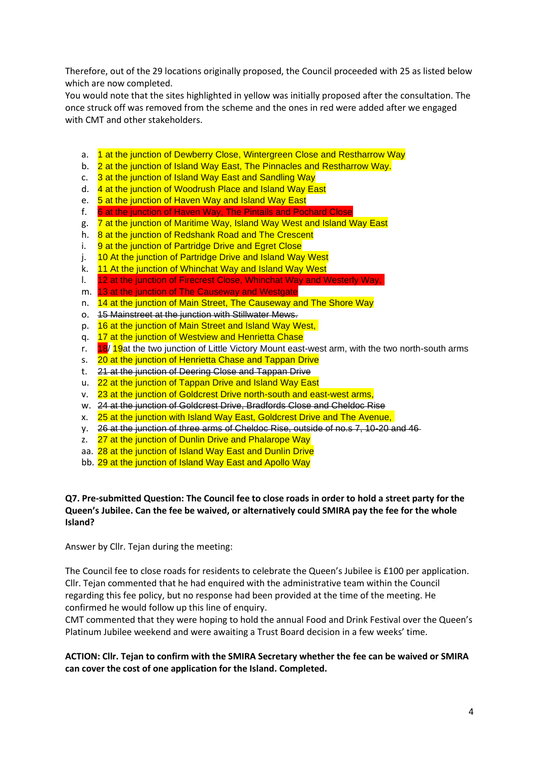Therefore, out of the 29 locations originally proposed, the Council proceeded with 25 as listed below which are now completed.

You would note that the sites highlighted in yellow was initially proposed after the consultation. The once struck off was removed from the scheme and the ones in red were added after we engaged with CMT and other stakeholders.

- a. 1 at the junction of Dewberry Close, Wintergreen Close and Restharrow Way
- b. 2 at the junction of Island Way East, The Pinnacles and Restharrow Way.
- c. 3 at the junction of Island Way East and Sandling Way
- d. 4 at the junction of Woodrush Place and Island Way East
- e. 5 at the junction of Haven Way and Island Way East
- f. 6 at the junction of Haven Way, The Pintails and Pochard Close
- g. 7 at the junction of Maritime Way, Island Way West and Island Way East
- h. 8 at the junction of Redshank Road and The Crescent
- i. 9 at the junction of Partridge Drive and Egret Close
- j. 10 At the junction of Partridge Drive and Island Way West
- k. 11 At the junction of Whinchat Way and Island Way West
- l. 12 at the junction of Firecrest Close, Whinchat Way and Westerly Way,
- m. 13 at the junction of The Causeway and Westgate
- n. 14 at the junction of Main Street, The Causeway and The Shore Way
- o. 15 Mainstreet at the junction with Stillwater Mews.
- p. 16 at the junction of Main Street and Island Way West,
- q. 17 at the junction of Westview and Henrietta Chase<br>r. 18/19 at the two junction of Little Victory Mount east
- 18/ 19at the two junction of Little Victory Mount east-west arm, with the two north-south arms
- s. 20 at the junction of Henrietta Chase and Tappan Drive
- t. 21 at the junction of Deering Close and Tappan Drive
- u. 22 at the junction of Tappan Drive and Island Way East
- v. 23 at the junction of Goldcrest Drive north-south and east-west arms,
- w. 24 at the junction of Goldcrest Drive, Bradfords Close and Cheldoc Rise
- x. 25 at the junction with Island Way East, Goldcrest Drive and The Avenue,
- y. 26 at the junction of three arms of Cheldoc Rise, outside of no.s 7, 10-20 and 46
- z. 27 at the junction of Dunlin Drive and Phalarope Way
- aa. 28 at the junction of Island Way East and Dunlin Drive
- bb. 29 at the junction of Island Way East and Apollo Way

# **Q7. Pre-submitted Question: The Council fee to close roads in order to hold a street party for the Queen's Jubilee. Can the fee be waived, or alternatively could SMIRA pay the fee for the whole Island?**

Answer by Cllr. Tejan during the meeting:

The Council fee to close roads for residents to celebrate the Queen's Jubilee is £100 per application. Cllr. Tejan commented that he had enquired with the administrative team within the Council regarding this fee policy, but no response had been provided at the time of the meeting. He confirmed he would follow up this line of enquiry.

CMT commented that they were hoping to hold the annual Food and Drink Festival over the Queen's Platinum Jubilee weekend and were awaiting a Trust Board decision in a few weeks' time.

**ACTION: Cllr. Tejan to confirm with the SMIRA Secretary whether the fee can be waived or SMIRA can cover the cost of one application for the Island. Completed.**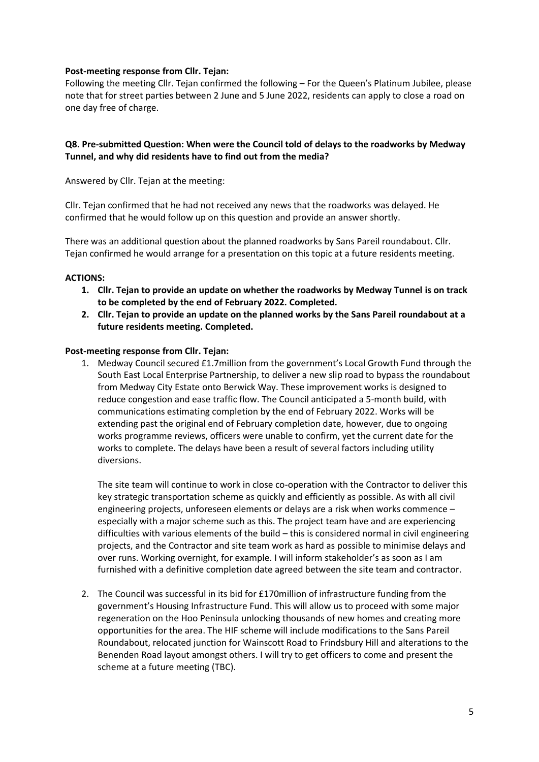# **Post-meeting response from Cllr. Tejan:**

Following the meeting Cllr. Tejan confirmed the following – For the Queen's Platinum Jubilee, please note that for street parties between 2 June and 5 June 2022, residents can apply to close a road on one day free of charge.

# **Q8. Pre-submitted Question: When were the Council told of delays to the roadworks by Medway Tunnel, and why did residents have to find out from the media?**

Answered by Cllr. Tejan at the meeting:

Cllr. Tejan confirmed that he had not received any news that the roadworks was delayed. He confirmed that he would follow up on this question and provide an answer shortly.

There was an additional question about the planned roadworks by Sans Pareil roundabout. Cllr. Tejan confirmed he would arrange for a presentation on this topic at a future residents meeting.

## **ACTIONS:**

- **1. Cllr. Tejan to provide an update on whether the roadworks by Medway Tunnel is on track to be completed by the end of February 2022. Completed.**
- **2. Cllr. Tejan to provide an update on the planned works by the Sans Pareil roundabout at a future residents meeting. Completed.**

#### **Post-meeting response from Cllr. Tejan:**

1. Medway Council secured £1.7million from the government's Local Growth Fund through the South East Local Enterprise Partnership, to deliver a new slip road to bypass the roundabout from Medway City Estate onto Berwick Way. These improvement works is designed to reduce congestion and ease traffic flow. The Council anticipated a 5-month build, with communications estimating completion by the end of February 2022. Works will be extending past the original end of February completion date, however, due to ongoing works programme reviews, officers were unable to confirm, yet the current date for the works to complete. The delays have been a result of several factors including utility diversions.

The site team will continue to work in close co-operation with the Contractor to deliver this key strategic transportation scheme as quickly and efficiently as possible. As with all civil engineering projects, unforeseen elements or delays are a risk when works commence – especially with a major scheme such as this. The project team have and are experiencing difficulties with various elements of the build – this is considered normal in civil engineering projects, and the Contractor and site team work as hard as possible to minimise delays and over runs. Working overnight, for example. I will inform stakeholder's as soon as I am furnished with a definitive completion date agreed between the site team and contractor.

2. The Council was successful in its bid for £170million of infrastructure funding from the government's Housing Infrastructure Fund. This will allow us to proceed with some major regeneration on the Hoo Peninsula unlocking thousands of new homes and creating more opportunities for the area. The HIF scheme will include modifications to the Sans Pareil Roundabout, relocated junction for Wainscott Road to Frindsbury Hill and alterations to the Benenden Road layout amongst others. I will try to get officers to come and present the scheme at a future meeting (TBC).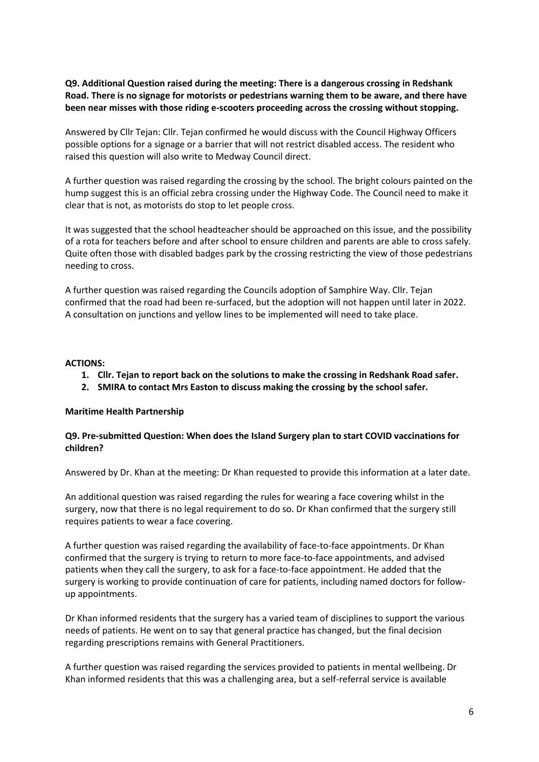# **Q9. Additional Question raised during the meeting: There is a dangerous crossing in Redshank Road. There is no signage for motorists or pedestrians warning them to be aware, and there have been near misses with those riding e-scooters proceeding across the crossing without stopping.**

Answered by Cllr Tejan: Cllr. Tejan confirmed he would discuss with the Council Highway Officers possible options for a signage or a barrier that will not restrict disabled access. The resident who raised this question will also write to Medway Council direct.

A further question was raised regarding the crossing by the school. The bright colours painted on the hump suggest this is an official zebra crossing under the Highway Code. The Council need to make it clear that is not, as motorists do stop to let people cross.

It was suggested that the school headteacher should be approached on this issue, and the possibility of a rota for teachers before and after school to ensure children and parents are able to cross safely. Quite often those with disabled badges park by the crossing restricting the view of those pedestrians needing to cross.

A further question was raised regarding the Councils adoption of Samphire Way. Cllr. Tejan confirmed that the road had been re-surfaced, but the adoption will not happen until later in 2022. A consultation on junctions and yellow lines to be implemented will need to take place.

## **ACTIONS:**

- **1. Cllr. Tejan to report back on the solutions to make the crossing in Redshank Road safer.**
- **2. SMIRA to contact Mrs Easton to discuss making the crossing by the school safer.**

## **Maritime Health Partnership**

# **Q9. Pre-submitted Question: When does the Island Surgery plan to start COVID vaccinations for children?**

Answered by Dr. Khan at the meeting: Dr Khan requested to provide this information at a later date.

An additional question was raised regarding the rules for wearing a face covering whilst in the surgery, now that there is no legal requirement to do so. Dr Khan confirmed that the surgery still requires patients to wear a face covering.

A further question was raised regarding the availability of face-to-face appointments. Dr Khan confirmed that the surgery is trying to return to more face-to-face appointments, and advised patients when they call the surgery, to ask for a face-to-face appointment. He added that the surgery is working to provide continuation of care for patients, including named doctors for followup appointments.

Dr Khan informed residents that the surgery has a varied team of disciplines to support the various needs of patients. He went on to say that general practice has changed, but the final decision regarding prescriptions remains with General Practitioners.

A further question was raised regarding the services provided to patients in mental wellbeing. Dr Khan informed residents that this was a challenging area, but a self-referral service is available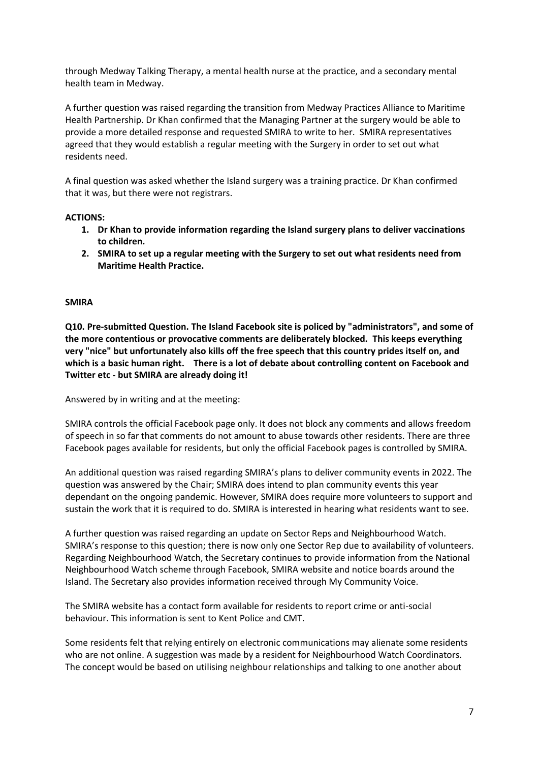through Medway Talking Therapy, a mental health nurse at the practice, and a secondary mental health team in Medway.

A further question was raised regarding the transition from Medway Practices Alliance to Maritime Health Partnership. Dr Khan confirmed that the Managing Partner at the surgery would be able to provide a more detailed response and requested SMIRA to write to her. SMIRA representatives agreed that they would establish a regular meeting with the Surgery in order to set out what residents need.

A final question was asked whether the Island surgery was a training practice. Dr Khan confirmed that it was, but there were not registrars.

# **ACTIONS:**

- **1. Dr Khan to provide information regarding the Island surgery plans to deliver vaccinations to children.**
- **2. SMIRA to set up a regular meeting with the Surgery to set out what residents need from Maritime Health Practice.**

## **SMIRA**

**Q10. Pre-submitted Question. The Island Facebook site is policed by "administrators", and some of the more contentious or provocative comments are deliberately blocked. This keeps everything very "nice" but unfortunately also kills off the free speech that this country prides itself on, and which is a basic human right. There is a lot of debate about controlling content on Facebook and Twitter etc - but SMIRA are already doing it!**

Answered by in writing and at the meeting:

SMIRA controls the official Facebook page only. It does not block any comments and allows freedom of speech in so far that comments do not amount to abuse towards other residents. There are three Facebook pages available for residents, but only the official Facebook pages is controlled by SMIRA.

An additional question was raised regarding SMIRA's plans to deliver community events in 2022. The question was answered by the Chair; SMIRA does intend to plan community events this year dependant on the ongoing pandemic. However, SMIRA does require more volunteers to support and sustain the work that it is required to do. SMIRA is interested in hearing what residents want to see.

A further question was raised regarding an update on Sector Reps and Neighbourhood Watch. SMIRA's response to this question; there is now only one Sector Rep due to availability of volunteers. Regarding Neighbourhood Watch, the Secretary continues to provide information from the National Neighbourhood Watch scheme through Facebook, SMIRA website and notice boards around the Island. The Secretary also provides information received through My Community Voice.

The SMIRA website has a contact form available for residents to report crime or anti-social behaviour. This information is sent to Kent Police and CMT.

Some residents felt that relying entirely on electronic communications may alienate some residents who are not online. A suggestion was made by a resident for Neighbourhood Watch Coordinators. The concept would be based on utilising neighbour relationships and talking to one another about